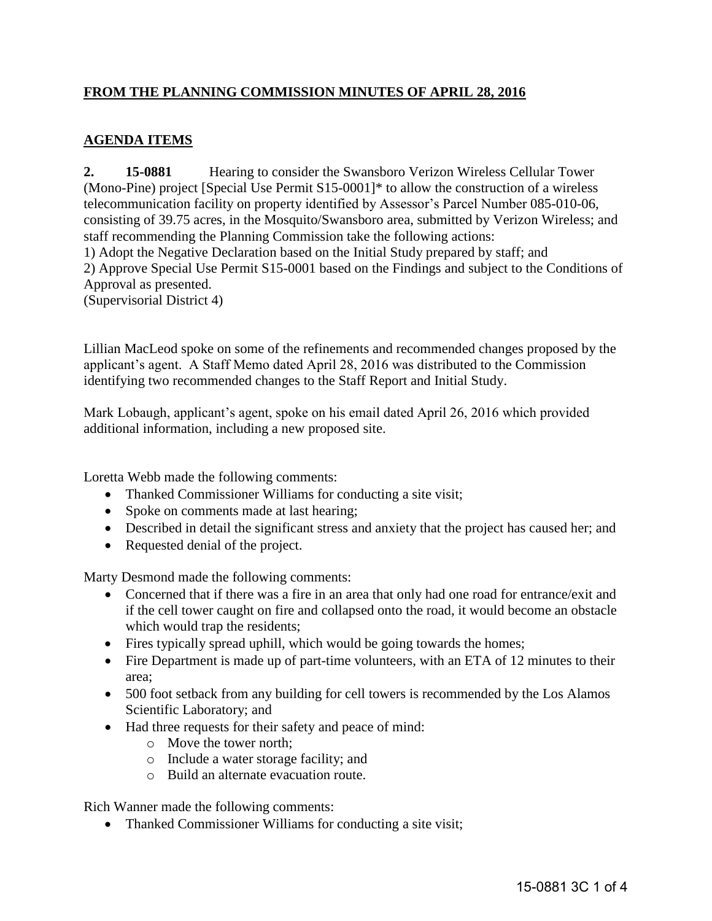## **FROM THE PLANNING COMMISSION MINUTES OF APRIL 28, 2016**

## **AGENDA ITEMS**

**2. 15-0881** Hearing to consider the Swansboro Verizon Wireless Cellular Tower (Mono-Pine) project [Special Use Permit S15-0001]\* to allow the construction of a wireless telecommunication facility on property identified by Assessor's Parcel Number 085-010-06, consisting of 39.75 acres, in the Mosquito/Swansboro area, submitted by Verizon Wireless; and staff recommending the Planning Commission take the following actions: 1) Adopt the Negative Declaration based on the Initial Study prepared by staff; and 2) Approve Special Use Permit S15-0001 based on the Findings and subject to the Conditions of Approval as presented. (Supervisorial District 4)

Lillian MacLeod spoke on some of the refinements and recommended changes proposed by the applicant's agent. A Staff Memo dated April 28, 2016 was distributed to the Commission identifying two recommended changes to the Staff Report and Initial Study.

Mark Lobaugh, applicant's agent, spoke on his email dated April 26, 2016 which provided additional information, including a new proposed site.

Loretta Webb made the following comments:

- Thanked Commissioner Williams for conducting a site visit;
- Spoke on comments made at last hearing;
- Described in detail the significant stress and anxiety that the project has caused her; and
- Requested denial of the project.

Marty Desmond made the following comments:

- Concerned that if there was a fire in an area that only had one road for entrance/exit and if the cell tower caught on fire and collapsed onto the road, it would become an obstacle which would trap the residents;
- Fires typically spread uphill, which would be going towards the homes;
- Fire Department is made up of part-time volunteers, with an ETA of 12 minutes to their area;
- 500 foot setback from any building for cell towers is recommended by the Los Alamos Scientific Laboratory; and
- Had three requests for their safety and peace of mind:
	- o Move the tower north;
	- o Include a water storage facility; and
	- o Build an alternate evacuation route.

Rich Wanner made the following comments:

• Thanked Commissioner Williams for conducting a site visit;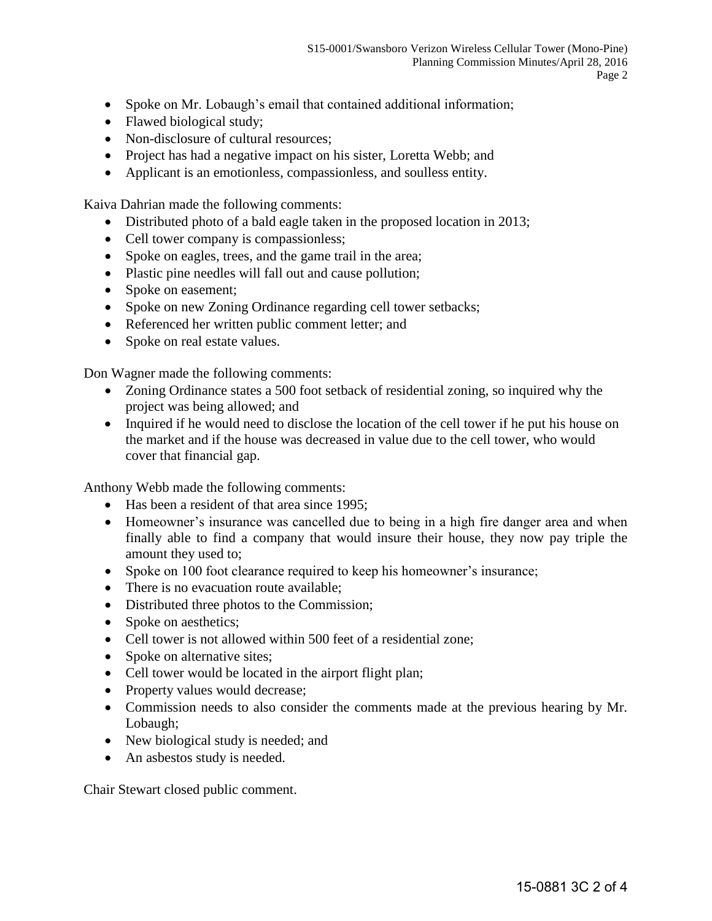- Spoke on Mr. Lobaugh's email that contained additional information;
- Flawed biological study;
- Non-disclosure of cultural resources;
- Project has had a negative impact on his sister, Loretta Webb; and
- Applicant is an emotionless, compassionless, and soulless entity.

Kaiva Dahrian made the following comments:

- Distributed photo of a bald eagle taken in the proposed location in 2013;
- Cell tower company is compassionless;
- Spoke on eagles, trees, and the game trail in the area;
- Plastic pine needles will fall out and cause pollution;
- Spoke on easement;
- Spoke on new Zoning Ordinance regarding cell tower setbacks;
- Referenced her written public comment letter; and
- Spoke on real estate values.

Don Wagner made the following comments:

- Zoning Ordinance states a 500 foot setback of residential zoning, so inquired why the project was being allowed; and
- Inquired if he would need to disclose the location of the cell tower if he put his house on the market and if the house was decreased in value due to the cell tower, who would cover that financial gap.

Anthony Webb made the following comments:

- Has been a resident of that area since 1995;
- Homeowner's insurance was cancelled due to being in a high fire danger area and when finally able to find a company that would insure their house, they now pay triple the amount they used to;
- Spoke on 100 foot clearance required to keep his homeowner's insurance;
- There is no evacuation route available;
- Distributed three photos to the Commission;
- Spoke on aesthetics;
- Cell tower is not allowed within 500 feet of a residential zone;
- Spoke on alternative sites;
- Cell tower would be located in the airport flight plan;
- Property values would decrease;
- Commission needs to also consider the comments made at the previous hearing by Mr. Lobaugh;
- New biological study is needed; and
- An asbestos study is needed.

Chair Stewart closed public comment.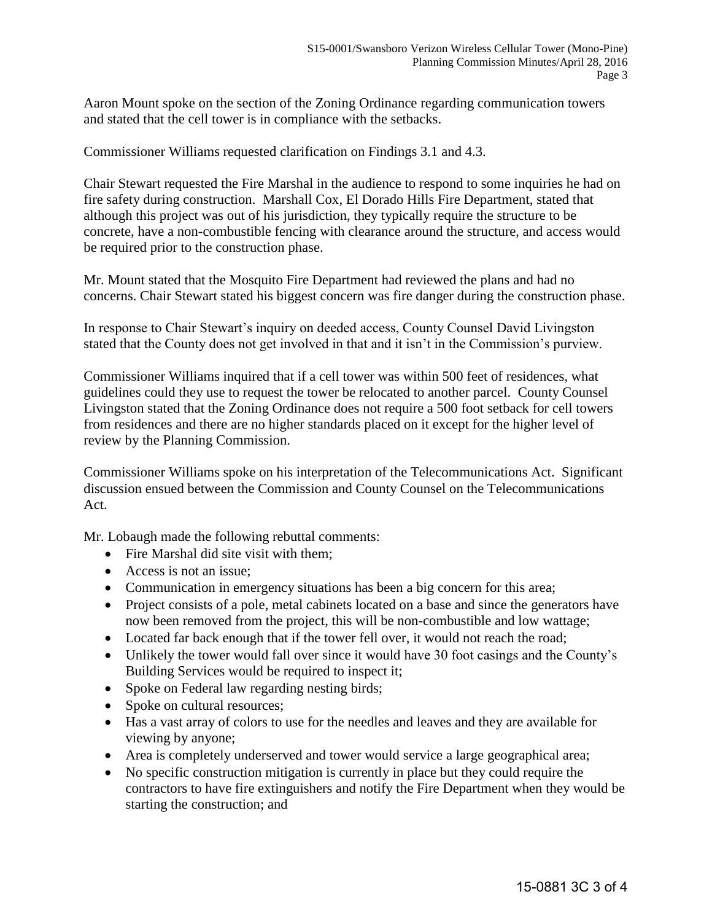Aaron Mount spoke on the section of the Zoning Ordinance regarding communication towers and stated that the cell tower is in compliance with the setbacks.

Commissioner Williams requested clarification on Findings 3.1 and 4.3.

Chair Stewart requested the Fire Marshal in the audience to respond to some inquiries he had on fire safety during construction. Marshall Cox, El Dorado Hills Fire Department, stated that although this project was out of his jurisdiction, they typically require the structure to be concrete, have a non-combustible fencing with clearance around the structure, and access would be required prior to the construction phase.

Mr. Mount stated that the Mosquito Fire Department had reviewed the plans and had no concerns. Chair Stewart stated his biggest concern was fire danger during the construction phase.

In response to Chair Stewart's inquiry on deeded access, County Counsel David Livingston stated that the County does not get involved in that and it isn't in the Commission's purview.

Commissioner Williams inquired that if a cell tower was within 500 feet of residences, what guidelines could they use to request the tower be relocated to another parcel. County Counsel Livingston stated that the Zoning Ordinance does not require a 500 foot setback for cell towers from residences and there are no higher standards placed on it except for the higher level of review by the Planning Commission.

Commissioner Williams spoke on his interpretation of the Telecommunications Act. Significant discussion ensued between the Commission and County Counsel on the Telecommunications Act.

Mr. Lobaugh made the following rebuttal comments:

- Fire Marshal did site visit with them:
- Access is not an issue:
- Communication in emergency situations has been a big concern for this area;
- Project consists of a pole, metal cabinets located on a base and since the generators have now been removed from the project, this will be non-combustible and low wattage;
- Located far back enough that if the tower fell over, it would not reach the road;
- Unlikely the tower would fall over since it would have 30 foot casings and the County's Building Services would be required to inspect it;
- Spoke on Federal law regarding nesting birds;
- Spoke on cultural resources:
- Has a vast array of colors to use for the needles and leaves and they are available for viewing by anyone;
- Area is completely underserved and tower would service a large geographical area;
- No specific construction mitigation is currently in place but they could require the contractors to have fire extinguishers and notify the Fire Department when they would be starting the construction; and